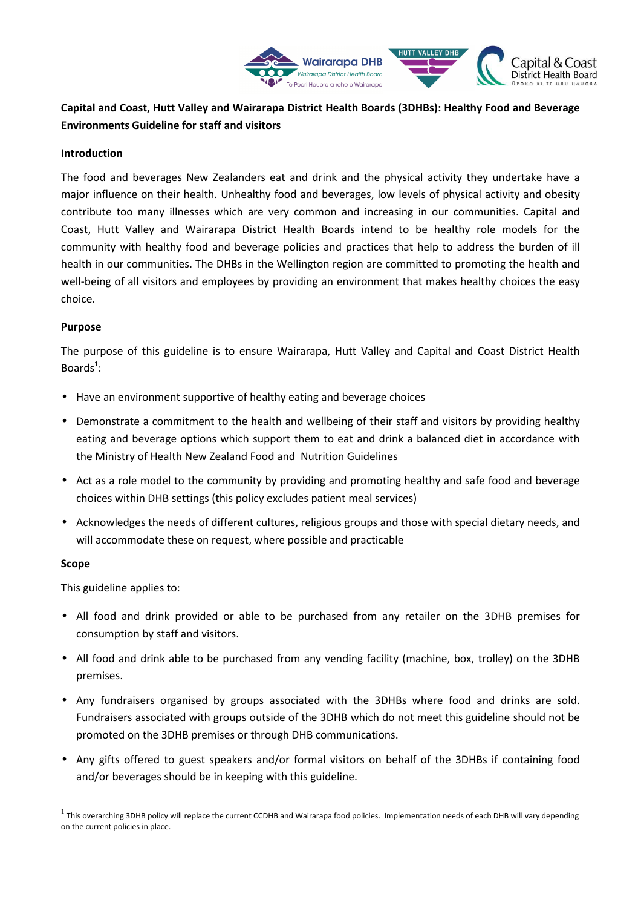

# **Capital and Coast, Hutt Valley and Wairarapa District Health Boards (3DHBs): Healthy Food and Beverage Environments Guideline for staff and visitors**

#### **Introduction**

The food and beverages New Zealanders eat and drink and the physical activity they undertake have a major influence on their health. Unhealthy food and beverages, low levels of physical activity and obesity contribute too many illnesses which are very common and increasing in our communities. Capital and Coast, Hutt Valley and Wairarapa District Health Boards intend to be healthy role models for the community with healthy food and beverage policies and practices that help to address the burden of ill health in our communities. The DHBs in the Wellington region are committed to promoting the health and well-being of all visitors and employees by providing an environment that makes healthy choices the easy choice.

#### **Purpose**

The purpose of this guideline is to ensure Wairarapa, Hutt Valley and Capital and Coast District Health Boards $^1$ :

- Have an environment supportive of healthy eating and beverage choices
- Demonstrate a commitment to the health and wellbeing of their staff and visitors by providing healthy eating and beverage options which support them to eat and drink a balanced diet in accordance with the Ministry of Health New Zealand Food and Nutrition Guidelines
- Act as a role model to the community by providing and promoting healthy and safe food and beverage choices within DHB settings (this policy excludes patient meal services)
- Acknowledges the needs of different cultures, religious groups and those with special dietary needs, and will accommodate these on request, where possible and practicable

#### **Scope**

 $\overline{a}$ 

This guideline applies to:

- All food and drink provided or able to be purchased from any retailer on the 3DHB premises for consumption by staff and visitors.
- All food and drink able to be purchased from any vending facility (machine, box, trolley) on the 3DHB premises.
- Any fundraisers organised by groups associated with the 3DHBs where food and drinks are sold. Fundraisers associated with groups outside of the 3DHB which do not meet this guideline should not be promoted on the 3DHB premises or through DHB communications.
- Any gifts offered to guest speakers and/or formal visitors on behalf of the 3DHBs if containing food and/or beverages should be in keeping with this guideline.

 $^1$  This overarching 3DHB policy will replace the current CCDHB and Wairarapa food policies. Implementation needs of each DHB will vary depending on the current policies in place.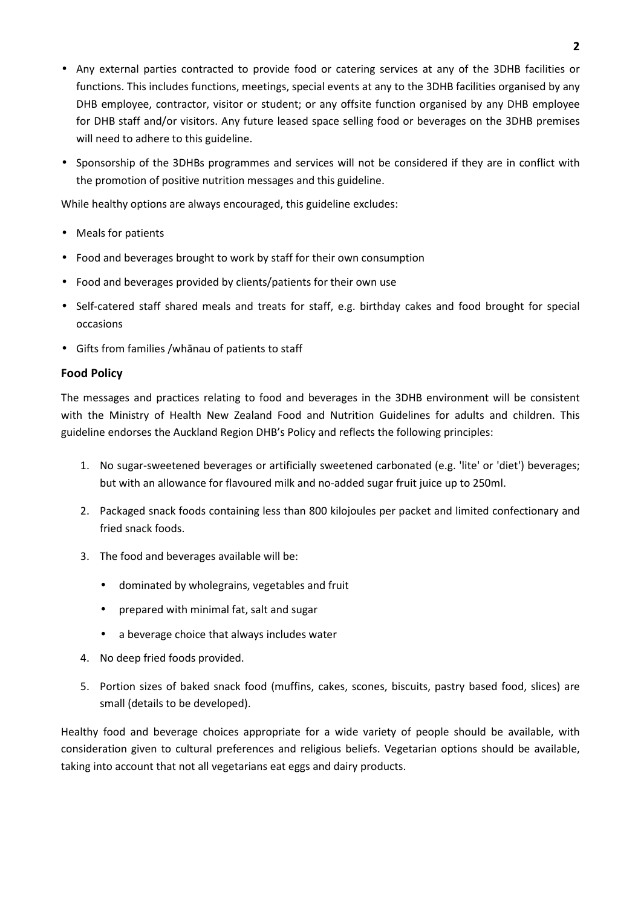- Any external parties contracted to provide food or catering services at any of the 3DHB facilities or functions. This includes functions, meetings, special events at any to the 3DHB facilities organised by any DHB employee, contractor, visitor or student; or any offsite function organised by any DHB employee for DHB staff and/or visitors. Any future leased space selling food or beverages on the 3DHB premises will need to adhere to this guideline.
- Sponsorship of the 3DHBs programmes and services will not be considered if they are in conflict with the promotion of positive nutrition messages and this guideline.

While healthy options are always encouraged, this guideline excludes:

- Meals for patients
- Food and beverages brought to work by staff for their own consumption
- Food and beverages provided by clients/patients for their own use
- Self-catered staff shared meals and treats for staff, e.g. birthday cakes and food brought for special occasions
- Gifts from families /whānau of patients to staff

### **Food Policy**

The messages and practices relating to food and beverages in the 3DHB environment will be consistent with the Ministry of Health New Zealand Food and Nutrition Guidelines for adults and children. This guideline endorses the Auckland Region DHB's Policy and reflects the following principles:

- 1. No sugar-sweetened beverages or artificially sweetened carbonated (e.g. 'lite' or 'diet') beverages; but with an allowance for flavoured milk and no-added sugar fruit juice up to 250ml.
- 2. Packaged snack foods containing less than 800 kilojoules per packet and limited confectionary and fried snack foods.
- 3. The food and beverages available will be:
	- dominated by wholegrains, vegetables and fruit
	- prepared with minimal fat, salt and sugar
	- a beverage choice that always includes water
- 4. No deep fried foods provided.
- 5. Portion sizes of baked snack food (muffins, cakes, scones, biscuits, pastry based food, slices) are small (details to be developed).

Healthy food and beverage choices appropriate for a wide variety of people should be available, with consideration given to cultural preferences and religious beliefs. Vegetarian options should be available, taking into account that not all vegetarians eat eggs and dairy products.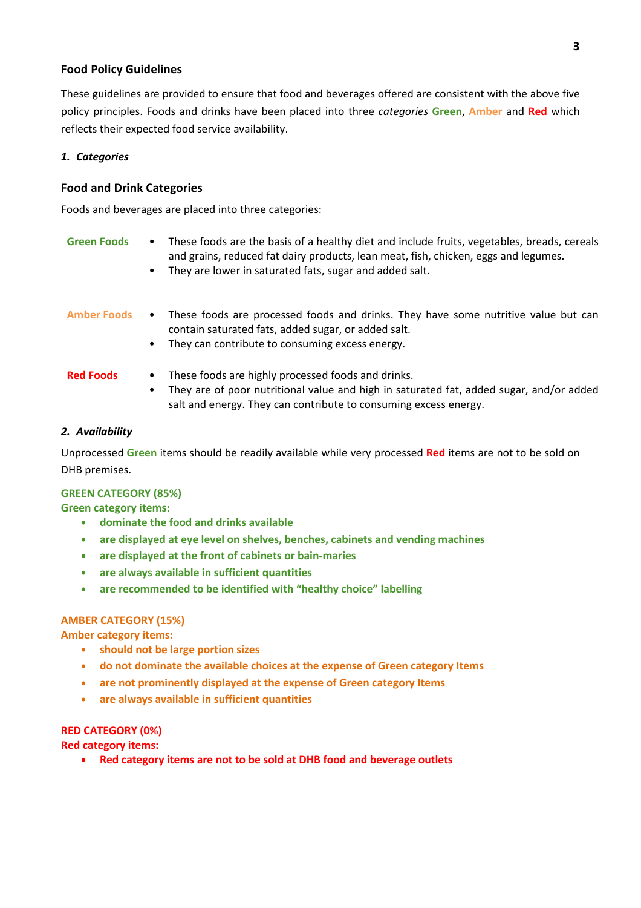#### **Food Policy Guidelines**

These guidelines are provided to ensure that food and beverages offered are consistent with the above five policy principles. Foods and drinks have been placed into three *categories* **Green**, **Amber** and **Red** which reflects their expected food service availability.

#### *1. Categories*

#### **Food and Drink Categories**

Foods and beverages are placed into three categories:

| <b>Green Foods</b> | $\bullet$<br>$\bullet$ | These foods are the basis of a healthy diet and include fruits, vegetables, breads, cereals<br>and grains, reduced fat dairy products, lean meat, fish, chicken, eggs and legumes.<br>They are lower in saturated fats, sugar and added salt. |
|--------------------|------------------------|-----------------------------------------------------------------------------------------------------------------------------------------------------------------------------------------------------------------------------------------------|
| <b>Amber Foods</b> | $\bullet$<br>٠         | These foods are processed foods and drinks. They have some nutritive value but can<br>contain saturated fats, added sugar, or added salt.<br>They can contribute to consuming excess energy.                                                  |
| <b>Red Foods</b>   | ٠<br>٠                 | These foods are highly processed foods and drinks.<br>They are of poor nutritional value and high in saturated fat, added sugar, and/or added<br>salt and energy. They can contribute to consuming excess energy.                             |

#### *2. Availability*

Unprocessed **Green** items should be readily available while very processed **Red** items are not to be sold on DHB premises.

#### **GREEN CATEGORY (85%)**

**Green category items:** 

- **• dominate the food and drinks available**
- **• are displayed at eye level on shelves, benches, cabinets and vending machines**
- **• are displayed at the front of cabinets or bain-maries**
- **• are always available in sufficient quantities**
- **• are recommended to be identified with "healthy choice" labelling**

#### **AMBER CATEGORY (15%)**

**Amber category items:** 

- **• should not be large portion sizes**
- **• do not dominate the available choices at the expense of Green category Items**
- **• are not prominently displayed at the expense of Green category Items**
- **• are always available in sufficient quantities**

## **RED CATEGORY (0%)**

**Red category items:** 

**• Red category items are not to be sold at DHB food and beverage outlets**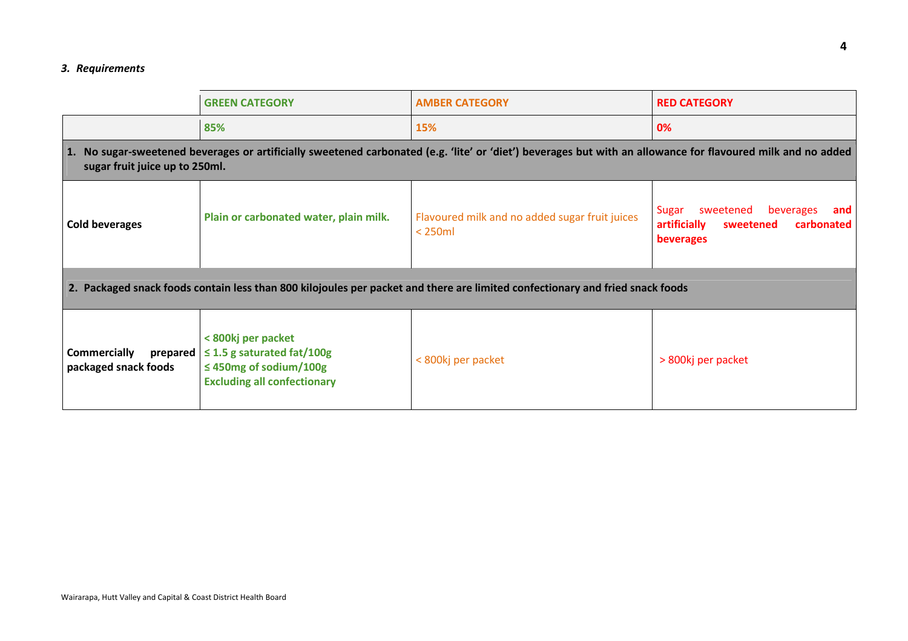#### *3. Requirements*

|                                                                                                                                                                                                | <b>GREEN CATEGORY</b>                                                                                                      | <b>AMBER CATEGORY</b>                                     | <b>RED CATEGORY</b>                                                                                   |
|------------------------------------------------------------------------------------------------------------------------------------------------------------------------------------------------|----------------------------------------------------------------------------------------------------------------------------|-----------------------------------------------------------|-------------------------------------------------------------------------------------------------------|
|                                                                                                                                                                                                | 85%                                                                                                                        | 15%                                                       | 0%                                                                                                    |
| 1. No sugar-sweetened beverages or artificially sweetened carbonated (e.g. 'lite' or 'diet') beverages but with an allowance for flavoured milk and no added<br>sugar fruit juice up to 250ml. |                                                                                                                            |                                                           |                                                                                                       |
| <b>Cold beverages</b>                                                                                                                                                                          | Plain or carbonated water, plain milk.                                                                                     | Flavoured milk and no added sugar fruit juices<br>$250ml$ | sweetened<br>Sugar<br>beverages<br>and<br>artificially<br>sweetened<br>carbonated<br><b>beverages</b> |
| 2. Packaged snack foods contain less than 800 kilojoules per packet and there are limited confectionary and fried snack foods                                                                  |                                                                                                                            |                                                           |                                                                                                       |
| <b>Commercially</b><br>prepared<br>packaged snack foods                                                                                                                                        | < 800kj per packet<br>$\leq$ 1.5 g saturated fat/100g<br>$\leq$ 450mg of sodium/100g<br><b>Excluding all confectionary</b> | < 800kj per packet                                        | > 800kj per packet                                                                                    |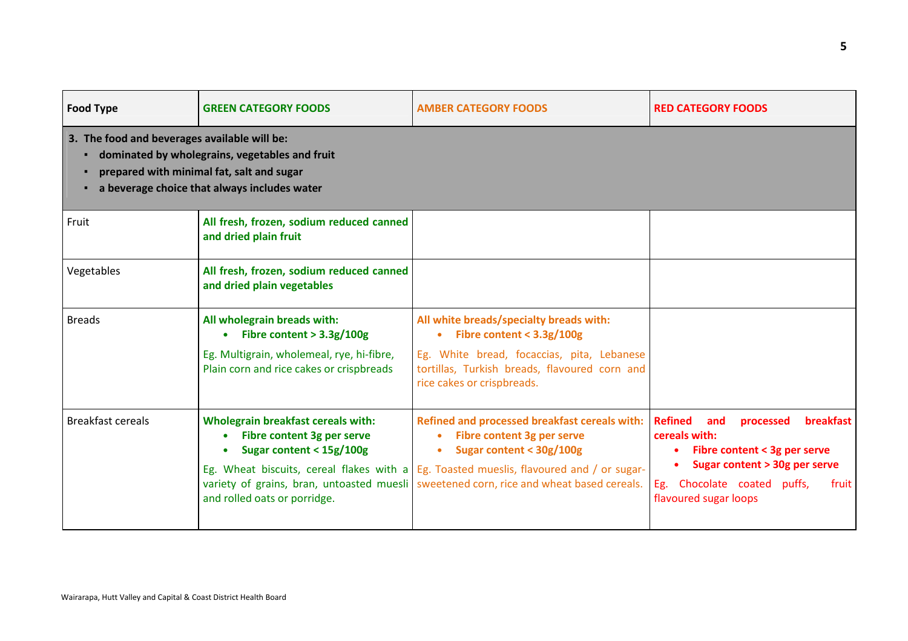| <b>Food Type</b>                             | <b>GREEN CATEGORY FOODS</b>                                                                                                                                                      | <b>AMBER CATEGORY FOODS</b>                                                                                                                                                                                                                             | <b>RED CATEGORY FOODS</b>                                                                                                                                                                                 |
|----------------------------------------------|----------------------------------------------------------------------------------------------------------------------------------------------------------------------------------|---------------------------------------------------------------------------------------------------------------------------------------------------------------------------------------------------------------------------------------------------------|-----------------------------------------------------------------------------------------------------------------------------------------------------------------------------------------------------------|
| 3. The food and beverages available will be: | dominated by wholegrains, vegetables and fruit<br>prepared with minimal fat, salt and sugar<br>a beverage choice that always includes water                                      |                                                                                                                                                                                                                                                         |                                                                                                                                                                                                           |
| Fruit                                        | All fresh, frozen, sodium reduced canned<br>and dried plain fruit                                                                                                                |                                                                                                                                                                                                                                                         |                                                                                                                                                                                                           |
| Vegetables                                   | All fresh, frozen, sodium reduced canned<br>and dried plain vegetables                                                                                                           |                                                                                                                                                                                                                                                         |                                                                                                                                                                                                           |
| <b>Breads</b>                                | All wholegrain breads with:<br>Fibre content $> 3.3g/100g$<br>$\bullet$<br>Eg. Multigrain, wholemeal, rye, hi-fibre,<br>Plain corn and rice cakes or crispbreads                 | All white breads/specialty breads with:<br>• Fibre content < $3.3g/100g$<br>Eg. White bread, focaccias, pita, Lebanese<br>tortillas, Turkish breads, flavoured corn and<br>rice cakes or crispbreads.                                                   |                                                                                                                                                                                                           |
| <b>Breakfast cereals</b>                     | <b>Wholegrain breakfast cereals with:</b><br>Fibre content 3g per serve<br>Sugar content < 15g/100g<br>variety of grains, bran, untoasted muesli<br>and rolled oats or porridge. | Refined and processed breakfast cereals with:<br>Fibre content 3g per serve<br>Sugar content < 30g/100g<br>Eg. Wheat biscuits, cereal flakes with a $E$ Eg. Toasted mueslis, flavoured and / or sugar-<br>sweetened corn, rice and wheat based cereals. | <b>Refined</b><br><b>breakfast</b><br>and<br>processed<br>cereals with:<br>Fibre content < 3g per serve<br>Sugar content > 30g per serve<br>Eg. Chocolate coated puffs,<br>fruit<br>flavoured sugar loops |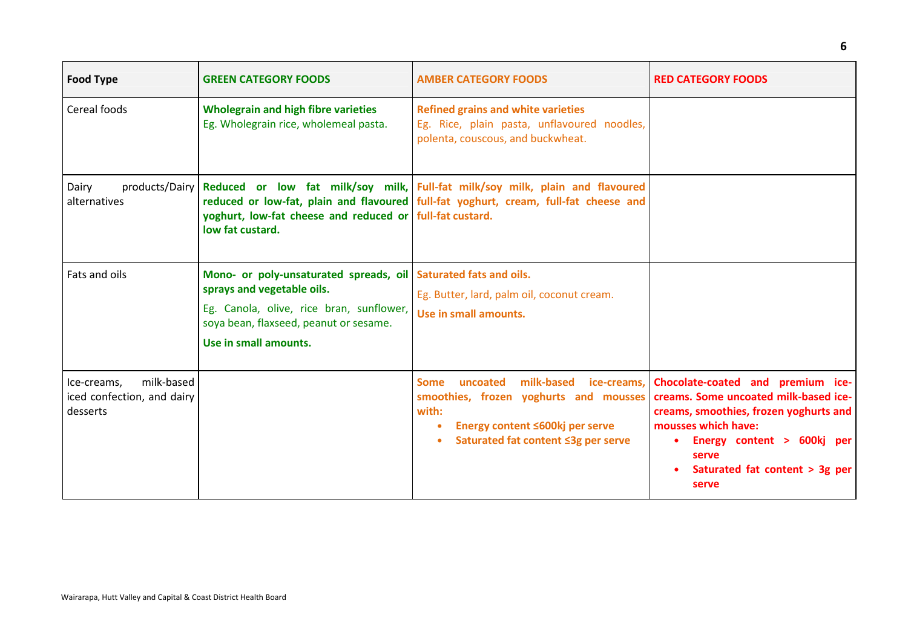| <b>Food Type</b>                                                    | <b>GREEN CATEGORY FOODS</b>                                                                                                                                                                                  | <b>AMBER CATEGORY FOODS</b>                                                                                                                                           | <b>RED CATEGORY FOODS</b>                                                                                                                                                                                                                            |
|---------------------------------------------------------------------|--------------------------------------------------------------------------------------------------------------------------------------------------------------------------------------------------------------|-----------------------------------------------------------------------------------------------------------------------------------------------------------------------|------------------------------------------------------------------------------------------------------------------------------------------------------------------------------------------------------------------------------------------------------|
| Cereal foods                                                        | <b>Wholegrain and high fibre varieties</b><br>Eg. Wholegrain rice, wholemeal pasta.                                                                                                                          | <b>Refined grains and white varieties</b><br>Eg. Rice, plain pasta, unflavoured noodles,<br>polenta, couscous, and buckwheat.                                         |                                                                                                                                                                                                                                                      |
| products/Dairy<br>Dairy<br>alternatives                             | yoghurt, low-fat cheese and reduced or full-fat custard.<br>low fat custard.                                                                                                                                 | Reduced or low fat milk/soy milk, Full-fat milk/soy milk, plain and flavoured<br>reduced or low-fat, plain and flavoured full-fat yoghurt, cream, full-fat cheese and |                                                                                                                                                                                                                                                      |
| Fats and oils                                                       | Mono- or poly-unsaturated spreads, oil Saturated fats and oils.<br>sprays and vegetable oils.<br>Eg. Canola, olive, rice bran, sunflower,<br>soya bean, flaxseed, peanut or sesame.<br>Use in small amounts. | Eg. Butter, lard, palm oil, coconut cream.<br>Use in small amounts.                                                                                                   |                                                                                                                                                                                                                                                      |
| milk-based<br>Ice-creams,<br>iced confection, and dairy<br>desserts |                                                                                                                                                                                                              | <b>Some</b><br>uncoated<br>smoothies, frozen yoghurts and mousses<br>with:<br>Energy content ≤600kj per serve<br>$\bullet$<br>Saturated fat content ≤3g per serve     | milk-based ice-creams, Chocolate-coated and premium ice-<br>creams. Some uncoated milk-based ice-<br>creams, smoothies, frozen yoghurts and<br>mousses which have:<br>Energy content > 600kj per<br>serve<br>Saturated fat content > 3g per<br>serve |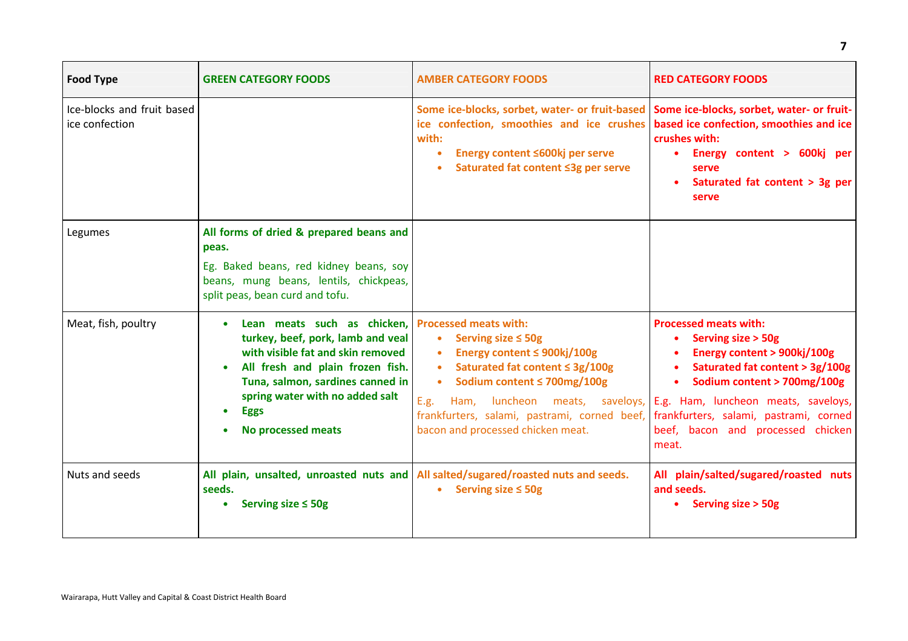| <b>Food Type</b>                             | <b>GREEN CATEGORY FOODS</b>                                                                                                                                                                                                                                                 | <b>AMBER CATEGORY FOODS</b>                                                                                                                                                                                                                                                                                   | <b>RED CATEGORY FOODS</b>                                                                                                                                                                                                                     |
|----------------------------------------------|-----------------------------------------------------------------------------------------------------------------------------------------------------------------------------------------------------------------------------------------------------------------------------|---------------------------------------------------------------------------------------------------------------------------------------------------------------------------------------------------------------------------------------------------------------------------------------------------------------|-----------------------------------------------------------------------------------------------------------------------------------------------------------------------------------------------------------------------------------------------|
| Ice-blocks and fruit based<br>ice confection |                                                                                                                                                                                                                                                                             | Some ice-blocks, sorbet, water- or fruit-based<br>ice confection, smoothies and ice crushes<br>with:<br>Energy content ≤600kj per serve<br>Saturated fat content ≤3g per serve                                                                                                                                | Some ice-blocks, sorbet, water- or fruit-<br>based ice confection, smoothies and ice<br>crushes with:<br>Energy content > 600kj per<br>serve<br>Saturated fat content > 3g per<br>serve                                                       |
| Legumes                                      | All forms of dried & prepared beans and<br>peas.<br>Eg. Baked beans, red kidney beans, soy<br>beans, mung beans, lentils, chickpeas,<br>split peas, bean curd and tofu.                                                                                                     |                                                                                                                                                                                                                                                                                                               |                                                                                                                                                                                                                                               |
| Meat, fish, poultry                          | Lean meats such as chicken, Processed meats with:<br>turkey, beef, pork, lamb and veal<br>with visible fat and skin removed<br>All fresh and plain frozen fish.<br>Tuna, salmon, sardines canned in<br>spring water with no added salt<br><b>Eggs</b><br>No processed meats | Serving size $\leq$ 50g<br>$\bullet$<br>Energy content ≤ 900kj/100g<br>Saturated fat content $\leq$ 3g/100g<br>Sodium content ≤ 700mg/100g<br>E.g.<br>Ham, luncheon meats, saveloys, E.g. Ham, luncheon meats, saveloys,<br>frankfurters, salami, pastrami, corned beef,<br>bacon and processed chicken meat. | <b>Processed meats with:</b><br>• Serving size > 50g<br>Energy content > 900kj/100g<br>Saturated fat content > 3g/100g<br>Sodium content > 700mg/100g<br>frankfurters, salami, pastrami, corned<br>beef, bacon and processed chicken<br>meat. |
| Nuts and seeds                               | seeds.<br>Serving size $\leq$ 50g                                                                                                                                                                                                                                           | All plain, unsalted, unroasted nuts and All salted/sugared/roasted nuts and seeds.<br>Serving size $\leq$ 50g                                                                                                                                                                                                 | All plain/salted/sugared/roasted nuts<br>and seeds.<br>• Serving size > 50g                                                                                                                                                                   |